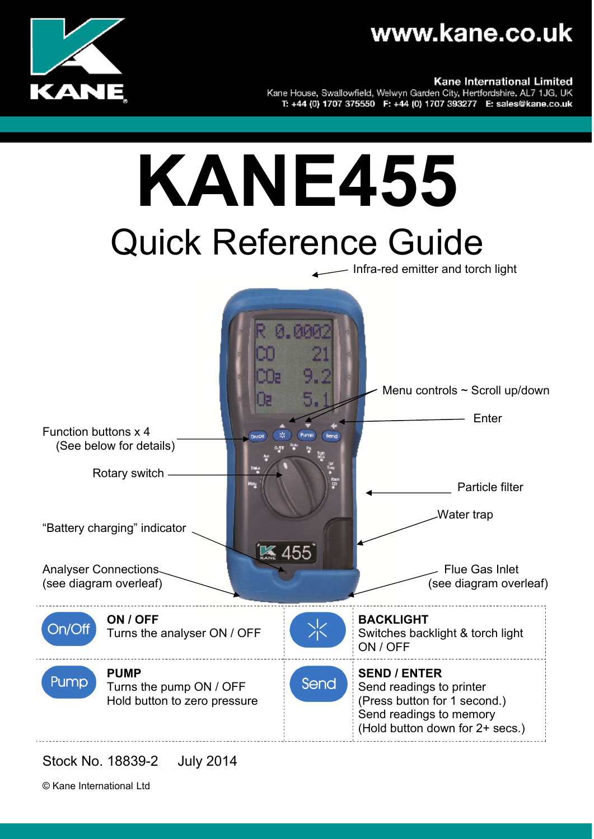



Kane International Limited

Kane House, Swallowfield, Welwyn Garden City, Hertfordshire, AL7 1JG, UK T: +44 (0) 1707 375550 F: +44 (0) 1707 393277 E: sales@kane.co.uk



Stock No. 18839-2 July 2014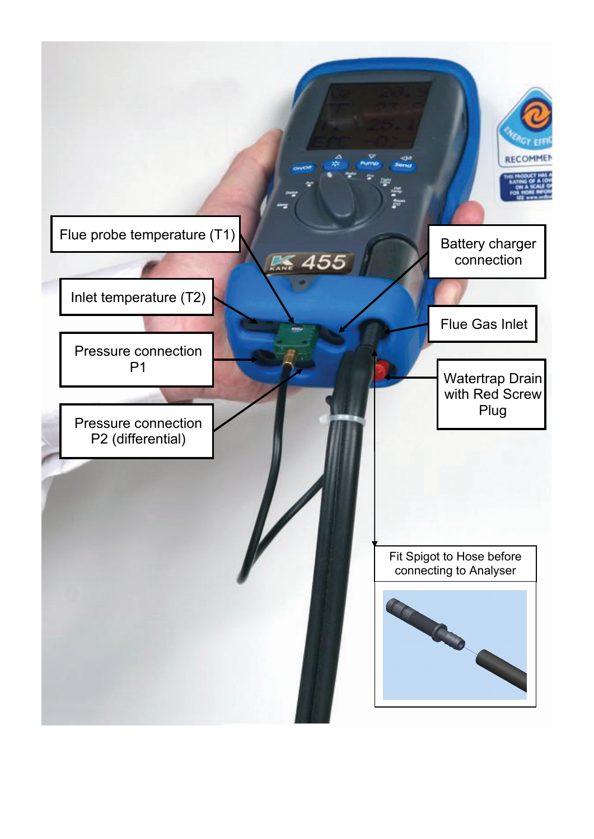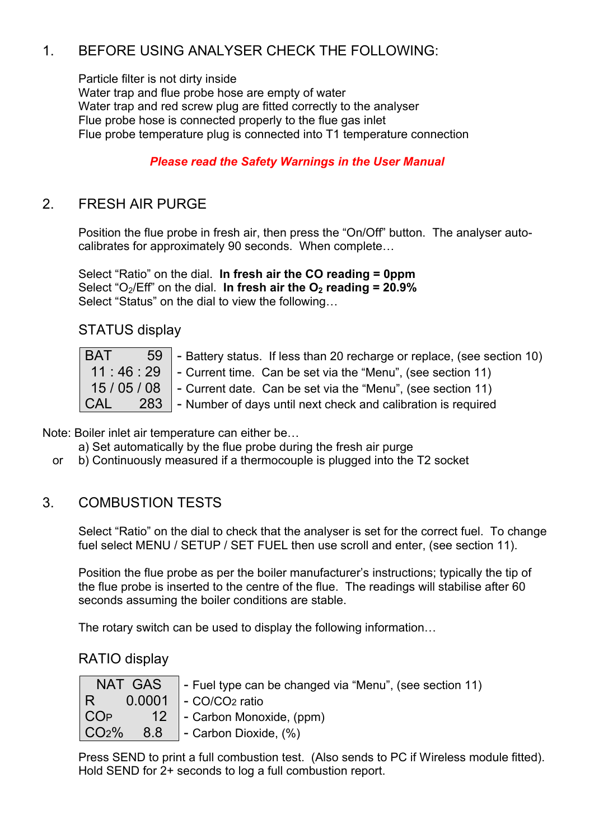#### 1. BEFORE USING ANALYSER CHECK THE FOLLOWING:

Particle filter is not dirty inside Water trap and flue probe hose are empty of water Water trap and red screw plug are fitted correctly to the analyser Flue probe hose is connected properly to the flue gas inlet Flue probe temperature plug is connected into T1 temperature connection

#### *Please read the Safety Warnings in the User Manual*

#### 2. FRESH AIR PURGE

Position the flue probe in fresh air, then press the "On/Off" button. The analyser autocalibrates for approximately 90 seconds. When complete…

Select "Ratio" on the dial. **In fresh air the CO reading = 0ppm** Select "O<sub>2</sub>/Eff" on the dial. In fresh air the O<sub>2</sub> reading = 20.9% Select "Status" on the dial to view the following…

STATUS display

| <b>BAT</b> | 59 - Battery status. If less than 20 recharge or replace, (see section 10)           |
|------------|--------------------------------------------------------------------------------------|
|            | 11 : 46 : 29 $\parallel$ - Current time. Can be set via the "Menu", (see section 11) |
| 15/05/08   | - Current date. Can be set via the "Menu", (see section 11)                          |
| <b>CAL</b> | 283 - Number of days until next check and calibration is required                    |

Note: Boiler inlet air temperature can either be…

a) Set automatically by the flue probe during the fresh air purge

or b) Continuously measured if a thermocouple is plugged into the T2 socket

#### 3. COMBUSTION TESTS

Select "Ratio" on the dial to check that the analyser is set for the correct fuel. To change fuel select MENU / SETUP / SET FUEL then use scroll and enter, (see section 11).

Position the flue probe as per the boiler manufacturer's instructions; typically the tip of the flue probe is inserted to the centre of the flue. The readings will stabilise after 60 seconds assuming the boiler conditions are stable.

The rotary switch can be used to display the following information…

RATIO display

|                   | $NAT$ GAS $\vert$ - Fuel type can be changed via "Menu", (see section 11)                                |
|-------------------|----------------------------------------------------------------------------------------------------------|
|                   |                                                                                                          |
|                   | COP 12 - Carbon Monoxide, (ppm)                                                                          |
| CO <sub>2</sub> % | $\begin{array}{ c c c c c } \hline \quad 8.8 & \quad \text{-- Carbon Dioxide, (%)} \ \hline \end{array}$ |

Press SEND to print a full combustion test. (Also sends to PC if Wireless module fitted). Hold SEND for 2+ seconds to log a full combustion report.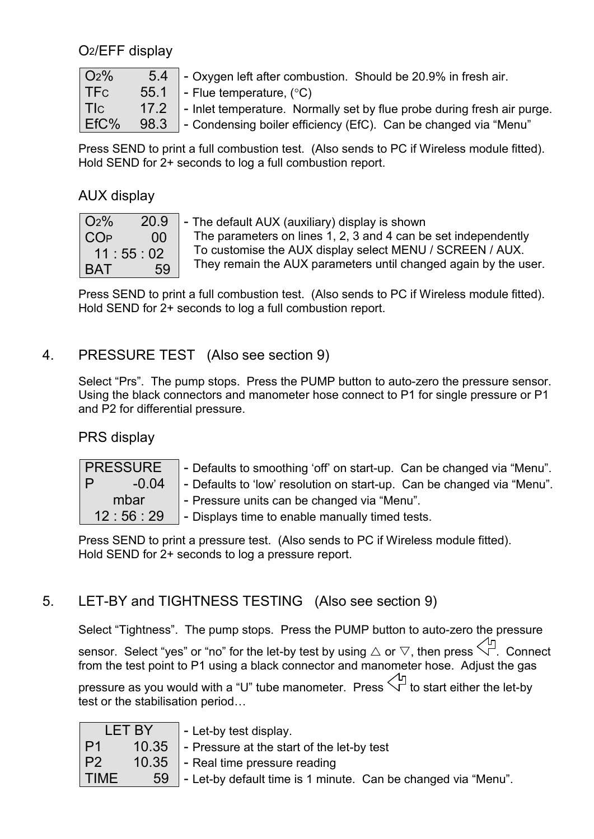O2/EFF display

| O <sub>2</sub> % |      | 5.4 - Oxygen left after combustion. Should be 20.9% in fresh air.                    |
|------------------|------|--------------------------------------------------------------------------------------|
| l TFc            |      | 55.1 - Flue temperature, $(^{\circ}C)$                                               |
| l Tlc l          |      | 17.2 $\vert$ - Inlet temperature. Normally set by flue probe during fresh air purge. |
| EfC%             | 98.3 | $\blacksquare$ - Condensing boiler efficiency (EfC). Can be changed via "Menu"       |

Press SEND to print a full combustion test. (Also sends to PC if Wireless module fitted). Hold SEND for 2+ seconds to log a full combustion report.

#### AUX display

| O <sub>2</sub> % | 20.9 |  |
|------------------|------|--|
| COP              | 00   |  |
| 11:55:02         |      |  |
| BAT              | 59   |  |

The default AUX (auxiliary) display is shown The parameters on lines 1, 2, 3 and 4 can be set independently To customise the AUX display select MENU / SCREEN / AUX. They remain the AUX parameters until changed again by the user.

Press SEND to print a full combustion test. (Also sends to PC if Wireless module fitted). Hold SEND for 2+ seconds to log a full combustion report.

#### 4. PRESSURE TEST (Also see section 9)

Select "Prs". The pump stops. Press the PUMP button to auto-zero the pressure sensor. Using the black connectors and manometer hose connect to P1 for single pressure or P1 and P2 for differential pressure.

#### PRS display

| <b>PRESSURE</b> | - Defaults to smoothing 'off' on start-up. Can be changed via "Menu".  |  |  |
|-----------------|------------------------------------------------------------------------|--|--|
| $-0.04$<br>. PZ | - Defaults to 'low' resolution on start-up. Can be changed via "Menu". |  |  |
| mbar            | - Pressure units can be changed via "Menu".                            |  |  |
| 12:56:29        | - Displays time to enable manually timed tests.                        |  |  |

Press SEND to print a pressure test. (Also sends to PC if Wireless module fitted). Hold SEND for 2+ seconds to log a pressure report.

#### 5. LET-BY and TIGHTNESS TESTING (Also see section 9)

Select "Tightness". The pump stops. Press the PUMP button to auto-zero the pressure sensor. Select "yes" or "no" for the let-by test by using  $\triangle$  or  $\nabla$ , then press  $\overleftrightarrow{\nabla}$ . Connect from the test point to P1 using a black connector and manometer hose. Adjust the gas

pressure as you would with a "U" tube manometer. Press  $\bigvee^{\text{L}}$  to start either the let-by test or the stabilisation period…

| LET BY |       | - Let-by test display.                                        |
|--------|-------|---------------------------------------------------------------|
| P1     | 10.35 | - Pressure at the start of the let-by test                    |
| P2     |       | $\vert$ 10.35 $\vert$ - Real time pressure reading            |
| TIME   | 59    | - Let-by default time is 1 minute. Can be changed via "Menu". |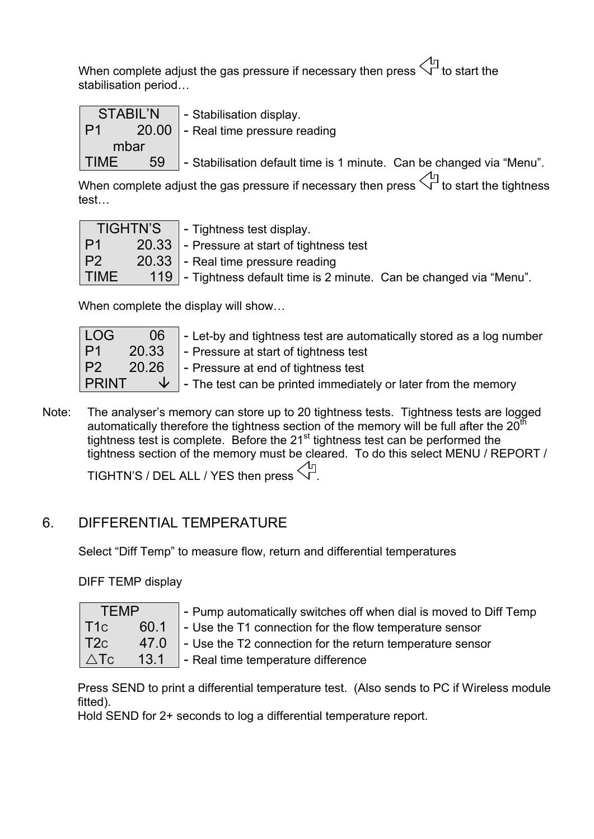When complete adjust the gas pressure if necessary then press  $\sqrt{q}$  to start the stabilisation period…

|             |  | STABIL'N   - Stabilisation display.                                       |
|-------------|--|---------------------------------------------------------------------------|
| P1          |  | 20.00 - Real time pressure reading                                        |
| mbar        |  |                                                                           |
| <b>TIME</b> |  | 59   - Stabilisation default time is 1 minute. Can be changed via "Menu". |

When complete adjust the gas pressure if necessary then press  $\Diamond^{\text{L}}$  to start the tightness test…

| <b>TIGHTN'S</b> |  | $\blacksquare$ - Tightness test display.                             |
|-----------------|--|----------------------------------------------------------------------|
| $\mathsf{P}1$   |  | 20.33 - Pressure at start of tightness test                          |
| P <sub>2</sub>  |  | 20.33 - Real time pressure reading                                   |
| <b>TIME</b>     |  | 119 - Tightness default time is 2 minute. Can be changed via "Menu". |

When complete the display will show…

| LOG          | 06 | $\vert$ - Let-by and tightness test are automatically stored as a log number        |
|--------------|----|-------------------------------------------------------------------------------------|
| P1           |    | 20.33 - Pressure at start of tightness test                                         |
| P2           |    | 20.26 - Pressure at end of tightness test                                           |
| <b>PRINT</b> |    | $\sqrt{\frac{1}{2}}$ - The test can be printed immediately or later from the memory |

Note: The analyser's memory can store up to 20 tightness tests. Tightness tests are logged automatically therefore the tightness section of the memory will be full after the  $20<sup>th</sup>$ tightness test is complete. Before the  $21<sup>st</sup>$  tightness test can be performed the tightness section of the memory must be cleared. To do this select MENU / REPORT /

TIGHTN'S / DEL ALL / YES then press  $\lesssim^{\mathbb{F}}$ 

#### 6. DIFFERENTIAL TEMPERATURE

Select "Diff Temp" to measure flow, return and differential temperatures

DIFF TEMP display

| TEMP            |      |  |
|-----------------|------|--|
| T1c             | 60.1 |  |
| T <sub>2c</sub> | 47.0 |  |
| $\triangle$ Tc  | 13.1 |  |

- Pump automatically switches off when dial is moved to Diff Temp

- Use the T1 connection for the flow temperature sensor

- Use the T2 connection for the return temperature sensor

- Real time temperature difference

Press SEND to print a differential temperature test. (Also sends to PC if Wireless module fitted).

Hold SEND for 2+ seconds to log a differential temperature report.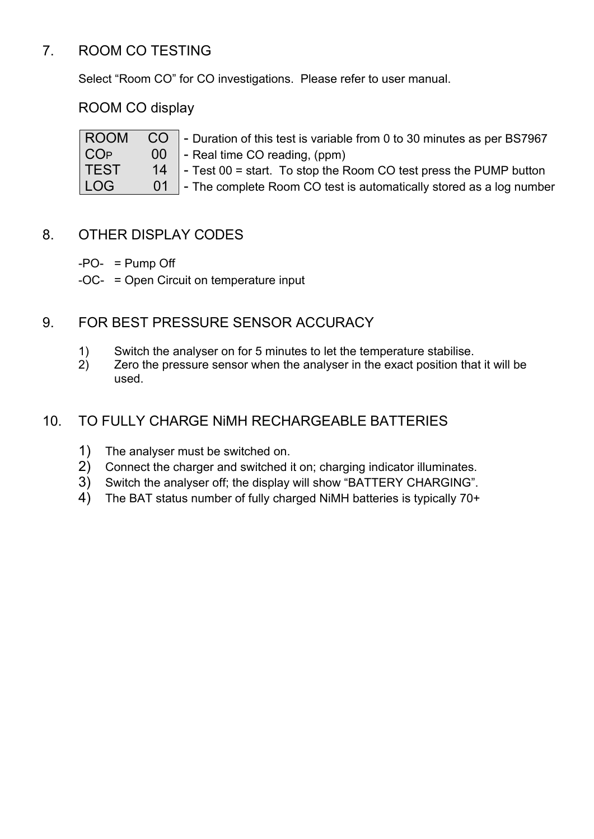#### 7. ROOM CO TESTING

Select "Room CO" for CO investigations. Please refer to user manual.

ROOM CO display

| <b>ROOM</b>     | CO   - Duration of this test is variable from 0 to 30 minutes as per BS7967  |
|-----------------|------------------------------------------------------------------------------|
| CO <sub>P</sub> | $\begin{bmatrix} 00 \end{bmatrix}$ - Real time CO reading, (ppm)             |
| <b>TEST</b>     | 14 $\vert$ - Test 00 = start. To stop the Room CO test press the PUMP button |
| LOG             | 01 - The complete Room CO test is automatically stored as a log number       |

#### 8. OTHER DISPLAY CODES

 $-PO- = Pump$  Off

-OC- = Open Circuit on temperature input

#### 9. FOR BEST PRESSURE SENSOR ACCURACY

- 1) Switch the analyser on for 5 minutes to let the temperature stabilise.
- 2) Zero the pressure sensor when the analyser in the exact position that it will be used.

#### 10. TO FULLY CHARGE NiMH RECHARGEABLE BATTERIES

- 
- 1) The analyser must be switched on.<br>2) Connect the charger and switched i 2) Connect the charger and switched it on; charging indicator illuminates.
- 3) Switch the analyser off; the display will show "BATTERY CHARGING".
- 4) The BAT status number of fully charged NiMH batteries is typically 70+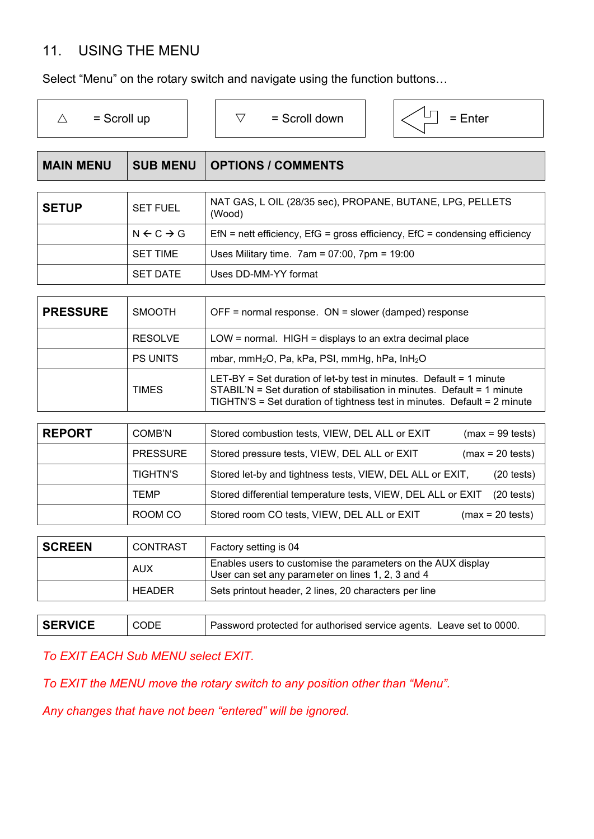#### 11. USING THE MENU

Select "Menu" on the rotary switch and navigate using the function buttons…

| $=$ Scroll up<br>$\triangle$ |                                | $\triangledown$<br>$=$ Scroll down<br>$=$ Enter                                                                                                                                                                            |
|------------------------------|--------------------------------|----------------------------------------------------------------------------------------------------------------------------------------------------------------------------------------------------------------------------|
| <b>MAIN MENU</b>             | <b>SUB MENU</b>                | <b>OPTIONS / COMMENTS</b>                                                                                                                                                                                                  |
|                              |                                |                                                                                                                                                                                                                            |
| <b>SETUP</b>                 | <b>SET FUEL</b>                | NAT GAS, L OIL (28/35 sec), PROPANE, BUTANE, LPG, PELLETS<br>(Wood)                                                                                                                                                        |
|                              | $N \leftarrow C \rightarrow G$ | $EfN$ = nett efficiency, $EfG$ = gross efficiency, $EfC$ = condensing efficiency                                                                                                                                           |
|                              | <b>SET TIME</b>                | Uses Military time. $7am = 07:00$ , $7pm = 19:00$                                                                                                                                                                          |
|                              | <b>SET DATE</b>                | Uses DD-MM-YY format                                                                                                                                                                                                       |
|                              |                                |                                                                                                                                                                                                                            |
| <b>PRESSURE</b>              | <b>SMOOTH</b>                  | OFF = normal response. $ON =$ slower (damped) response                                                                                                                                                                     |
|                              | <b>RESOLVE</b>                 | $LOW = normal$ . HIGH = displays to an extra decimal place                                                                                                                                                                 |
|                              | <b>PS UNITS</b>                | mbar, mmH <sub>2</sub> O, Pa, kPa, PSI, mmHg, hPa, $InH2O$                                                                                                                                                                 |
|                              | <b>TIMES</b>                   | LET-BY = Set duration of let-by test in minutes. Default = 1 minute<br>STABIL'N = Set duration of stabilisation in minutes. Default = 1 minute<br>TIGHTN'S = Set duration of tightness test in minutes. Default = 2 minute |

| <b>REPORT</b> | COMB'N          | Stored combustion tests, VIEW, DEL ALL or EXIT<br>$(max = 99 \text{ tests})$         |
|---------------|-----------------|--------------------------------------------------------------------------------------|
|               | <b>PRESSURE</b> | Stored pressure tests, VIEW, DEL ALL or EXIT<br>$(max = 20 tests)$                   |
|               | <b>TIGHTN'S</b> | Stored let-by and tightness tests, VIEW, DEL ALL or EXIT,<br>$(20 \text{ tests})$    |
|               | <b>TEMP</b>     | Stored differential temperature tests, VIEW, DEL ALL or EXIT<br>$(20 \text{ tests})$ |
|               | ROOM CO         | Stored room CO tests, VIEW, DEL ALL or EXIT<br>$(max = 20 \text{ tests})$            |

| <b>SCREEN</b> | <b>CONTRAST</b> | Factory setting is 04                                                                                             |
|---------------|-----------------|-------------------------------------------------------------------------------------------------------------------|
|               | <b>AUX</b>      | Enables users to customise the parameters on the AUX display<br>User can set any parameter on lines 1, 2, 3 and 4 |
|               | <b>HEADER</b>   | Sets printout header, 2 lines, 20 characters per line                                                             |
|               |                 |                                                                                                                   |

| <b>SERVICE</b> | <b>CODE</b> | Password protected for authorised service agents. Leave set to 0000. |
|----------------|-------------|----------------------------------------------------------------------|
|                |             |                                                                      |

*To EXIT EACH Sub MENU select EXIT.*

*To EXIT the MENU move the rotary switch to any position other than "Menu".*

*Any changes that have not been "entered" will be ignored.*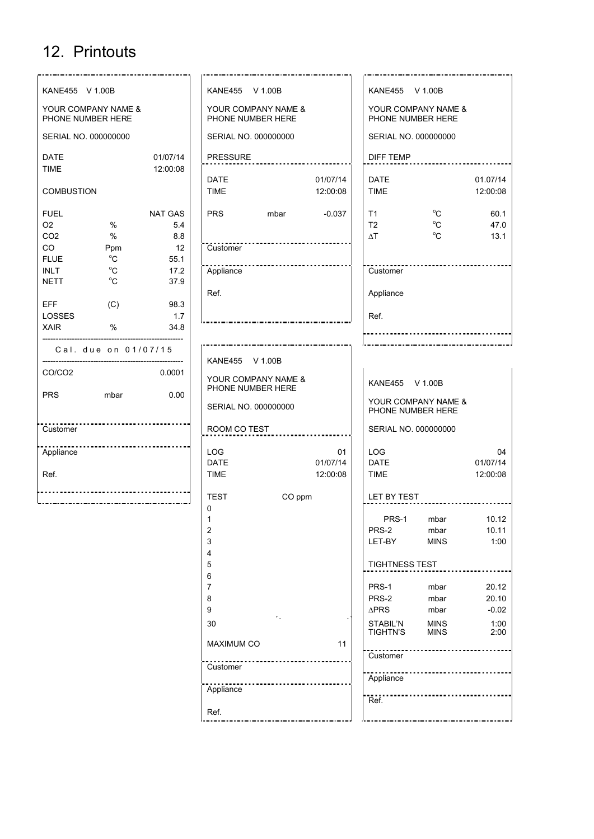### 12. Printouts

| KANE455 V 1.00B                          |                    |             | KANE455 V 1.00B                                             |      |                | KANE455 V 1.00B                          |                            |                |
|------------------------------------------|--------------------|-------------|-------------------------------------------------------------|------|----------------|------------------------------------------|----------------------------|----------------|
| YOUR COMPANY NAME &<br>PHONE NUMBER HERE |                    |             | YOUR COMPANY NAME &<br>PHONE NUMBER HERE                    |      |                | YOUR COMPANY NAME &<br>PHONE NUMBER HERE |                            |                |
| SERIAL NO. 000000000                     |                    |             | SERIAL NO. 000000000                                        |      |                | SERIAL NO. 000000000                     |                            |                |
| <b>DATE</b>                              |                    | 01/07/14    | <b>PRESSURE</b>                                             |      |                | <b>DIFF TEMP</b>                         |                            |                |
| <b>TIME</b>                              |                    | 12:00:08    | <b>DATE</b>                                                 |      | 01/07/14       | <b>DATE</b>                              |                            | 01.07/14       |
| <b>COMBUSTION</b>                        |                    |             | <b>TIME</b>                                                 |      | 12:00:08       | <b>TIME</b>                              |                            | 12:00:08       |
| <b>FUEL</b>                              |                    | NAT GAS     | <b>PRS</b>                                                  | mbar | $-0.037$       | T1                                       | $^{\circ}C$                | 60.1           |
| O <sub>2</sub>                           | $\%$               | 5.4         |                                                             |      |                | T2                                       | $^{\circ}$ C               | 47.0           |
| CO <sub>2</sub>                          | $\%$               | 8.8         |                                                             |      |                | $\Delta T$                               | $^{\circ}C$                | 13.1           |
| CO<br><b>FLUE</b>                        | Ppm<br>$^{\circ}C$ | 12<br>55.1  | Customer                                                    |      |                |                                          |                            |                |
| <b>INLT</b>                              | $^{\circ}C$        | 17.2        | Appliance                                                   |      |                | Customer                                 |                            |                |
| <b>NETT</b>                              | $^{\circ}$ C       | 37.9        |                                                             |      |                |                                          |                            |                |
|                                          |                    |             | Ref.                                                        |      |                | Appliance                                |                            |                |
| <b>EFF</b><br>LOSSES                     | (C)                | 98.3<br>1.7 |                                                             |      |                | Ref.                                     |                            |                |
| <b>XAIR</b>                              | $\%$               | 34.8        |                                                             |      |                |                                          |                            |                |
|                                          |                    |             |                                                             |      |                |                                          |                            |                |
| Cal. due on 01/07/15                     |                    |             | KANE455 V 1.00B                                             |      |                |                                          |                            |                |
| CO/CO <sub>2</sub>                       |                    | 0.0001      | YOUR COMPANY NAME &<br>KANE455 V 1.00B<br>PHONE NUMBER HERE |      |                |                                          |                            |                |
| <b>PRS</b>                               | mbar               | 0.00        | SERIAL NO. 000000000                                        |      |                | YOUR COMPANY NAME &<br>PHONE NUMBER HERE |                            |                |
| Customer                                 |                    |             | ROOM CO TEST                                                |      |                | SERIAL NO. 000000000                     |                            |                |
|                                          |                    |             |                                                             |      |                |                                          |                            |                |
| Appliance                                |                    |             | <b>LOG</b><br><b>DATE</b>                                   |      | 01<br>01/07/14 | <b>LOG</b><br><b>DATE</b>                |                            | 04<br>01/07/14 |
| Ref.                                     |                    |             | <b>TIME</b>                                                 |      | 12:00:08       | <b>TIME</b>                              |                            | 12:00:08       |
|                                          |                    |             |                                                             |      |                |                                          |                            |                |
|                                          |                    |             | <b>TEST</b><br>CO ppm<br>0                                  |      |                | LET BY TEST                              |                            |                |
|                                          |                    |             | 1                                                           |      |                | PRS-1                                    | mbar                       | 10.12          |
|                                          |                    |             | $\overline{2}$                                              |      |                | PRS-2                                    | mbar                       | 10.11          |
|                                          |                    |             | $\mathsf 3$                                                 |      |                | LET-BY                                   | <b>MINS</b>                | 1:00           |
|                                          |                    |             | 4                                                           |      |                |                                          |                            |                |
|                                          |                    |             | 5                                                           |      |                | <b>TIGHTNESS TEST</b>                    |                            |                |
|                                          |                    |             | 6                                                           |      |                |                                          |                            |                |
|                                          |                    |             | $\overline{7}$                                              |      |                | PRS-1                                    | mbar                       | 20.12          |
|                                          |                    |             | 8                                                           |      |                | PRS-2                                    | mbar                       | 20.10          |
|                                          |                    |             | 9                                                           | ٠.   |                | $\Delta PRS$                             | mbar                       | $-0.02$        |
|                                          |                    |             | 30                                                          |      |                | STABIL'N<br><b>TIGHTN'S</b>              | <b>MINS</b><br><b>MINS</b> | 1:00<br>2:00   |
|                                          |                    |             | <b>MAXIMUM CO</b>                                           |      | 11             | Customer                                 |                            |                |
|                                          |                    |             | Customer                                                    |      |                | Appliance                                |                            |                |
|                                          |                    |             | Appliance                                                   |      |                |                                          |                            |                |
|                                          |                    |             |                                                             |      |                | Ref.                                     |                            |                |
|                                          |                    |             | Ref.                                                        |      |                |                                          |                            |                |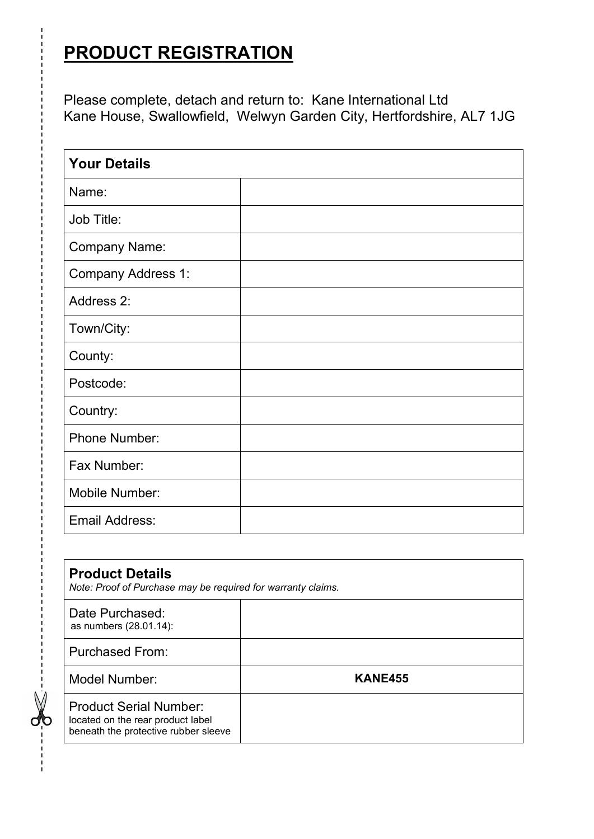### **PRODUCT REGISTRATION**

Please complete, detach and return to: Kane International Ltd Kane House, Swallowfield, Welwyn Garden City, Hertfordshire, AL7 1JG

| <b>Your Details</b>   |  |  |  |  |
|-----------------------|--|--|--|--|
| Name:                 |  |  |  |  |
| Job Title:            |  |  |  |  |
| <b>Company Name:</b>  |  |  |  |  |
| Company Address 1:    |  |  |  |  |
| Address 2:            |  |  |  |  |
| Town/City:            |  |  |  |  |
| County:               |  |  |  |  |
| Postcode:             |  |  |  |  |
| Country:              |  |  |  |  |
| <b>Phone Number:</b>  |  |  |  |  |
| Fax Number:           |  |  |  |  |
| Mobile Number:        |  |  |  |  |
| <b>Email Address:</b> |  |  |  |  |

| <b>Product Details</b><br>Note: Proof of Purchase may be required for warranty claims.                     |                |  |  |  |
|------------------------------------------------------------------------------------------------------------|----------------|--|--|--|
| Date Purchased:<br>as numbers (28.01.14):                                                                  |                |  |  |  |
| <b>Purchased From:</b>                                                                                     |                |  |  |  |
| Model Number:                                                                                              | <b>KANE455</b> |  |  |  |
| <b>Product Serial Number:</b><br>located on the rear product label<br>beneath the protective rubber sleeve |                |  |  |  |

 $\frac{1}{2}$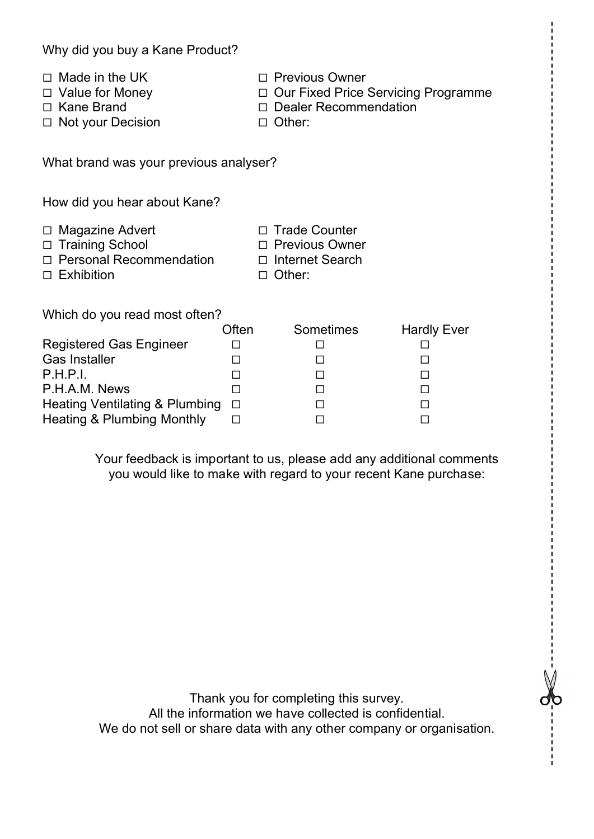| Why did you buy a Kane Product?        |                                                                                               |                                                          |  |  |  |  |
|----------------------------------------|-----------------------------------------------------------------------------------------------|----------------------------------------------------------|--|--|--|--|
|                                        | $\Box$ Our Fixed Price Servicing Programme<br>□ Dealer Recommendation                         |                                                          |  |  |  |  |
| What brand was your previous analyser? |                                                                                               |                                                          |  |  |  |  |
| How did you hear about Kane?           |                                                                                               |                                                          |  |  |  |  |
|                                        | <b>Trade Counter</b><br>$\Box$<br>□ Previous Owner<br>$\Box$ Internet Search<br>$\Box$ Other: |                                                          |  |  |  |  |
|                                        |                                                                                               |                                                          |  |  |  |  |
| □<br>□<br>□<br>$\Box$<br>$\Box$        | □<br>□<br>□<br>□<br>□                                                                         | <b>Hardly Ever</b><br>ப<br>□<br>□<br>□<br>$\Box$<br>□    |  |  |  |  |
|                                        | Often<br>$\Box$                                                                               | $\Box$ Previous Owner<br>$\Box$ Other:<br>Sometimes<br>□ |  |  |  |  |

Your feedback is important to us, please add any additional comments you would like to make with regard to your recent Kane purchase:

Thank you for completing this survey. All the information we have collected is confidential. We do not sell or share data with any other company or organisation.

do<br>|<br>|